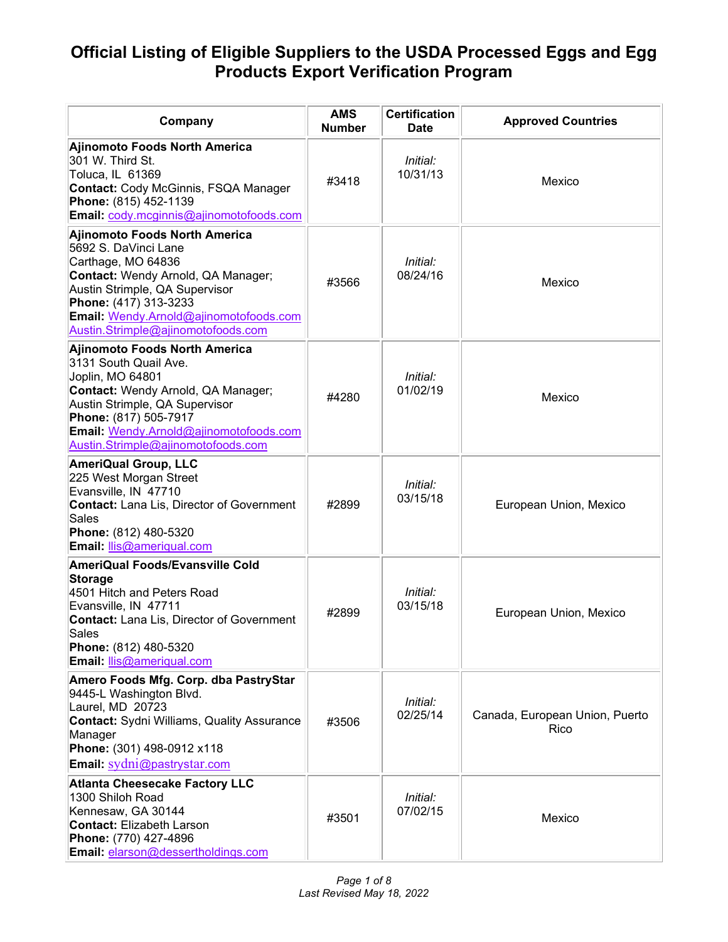| Company                                                                                                                                                                                                                                                            | <b>AMS</b><br><b>Number</b> | <b>Certification</b><br><b>Date</b> | <b>Approved Countries</b>              |
|--------------------------------------------------------------------------------------------------------------------------------------------------------------------------------------------------------------------------------------------------------------------|-----------------------------|-------------------------------------|----------------------------------------|
| Ajinomoto Foods North America<br>301 W. Third St.<br>Toluca, IL 61369<br><b>Contact: Cody McGinnis, FSQA Manager</b><br>Phone: (815) 452-1139<br>Email: cody.mcginnis@ajinomotofoods.com                                                                           | #3418                       | Initial:<br>10/31/13                | Mexico                                 |
| Ajinomoto Foods North America<br>5692 S. DaVinci Lane<br>Carthage, MO 64836<br>Contact: Wendy Arnold, QA Manager;<br>Austin Strimple, QA Supervisor<br>Phone: (417) 313-3233<br>Email: Wendy.Arnold@ajinomotofoods.com<br>Austin.Strimple@ajinomotofoods.com       | #3566                       | Initial:<br>08/24/16                | Mexico                                 |
| <b>Ajinomoto Foods North America</b><br>3131 South Quail Ave.<br>Joplin, MO 64801<br>Contact: Wendy Arnold, QA Manager;<br>Austin Strimple, QA Supervisor<br>Phone: (817) 505-7917<br>Email: Wendy.Arnold@ajinomotofoods.com<br>Austin.Strimple@ajinomotofoods.com | #4280                       | Initial:<br>01/02/19                | Mexico                                 |
| <b>AmeriQual Group, LLC</b><br>225 West Morgan Street<br>Evansville, IN 47710<br><b>Contact: Lana Lis, Director of Government</b><br>Sales<br>Phone: (812) 480-5320<br>Email: llis@ameriqual.com                                                                   | #2899                       | Initial:<br>03/15/18                | European Union, Mexico                 |
| <b>AmeriQual Foods/Evansville Cold</b><br><b>Storage</b><br>4501 Hitch and Peters Road<br>Evansville, IN 47711<br><b>Contact:</b> Lana Lis, Director of Government<br>Sales<br>Phone: (812) 480-5320<br>Email: llis@ameriqual.com                                  | #2899                       | Initial:<br>03/15/18                | European Union, Mexico                 |
| Amero Foods Mfg. Corp. dba PastryStar<br>9445-L Washington Blvd.<br>Laurel, MD 20723<br><b>Contact:</b> Sydni Williams, Quality Assurance<br>Manager<br>Phone: (301) 498-0912 x118<br>Email: sydni@pastrystar.com                                                  | #3506                       | Initial:<br>02/25/14                | Canada, European Union, Puerto<br>Rico |
| <b>Atlanta Cheesecake Factory LLC</b><br>1300 Shiloh Road<br>Kennesaw, GA 30144<br><b>Contact: Elizabeth Larson</b><br>Phone: (770) 427-4896<br>Email: elarson@dessertholdings.com                                                                                 | #3501                       | Initial:<br>07/02/15                | Mexico                                 |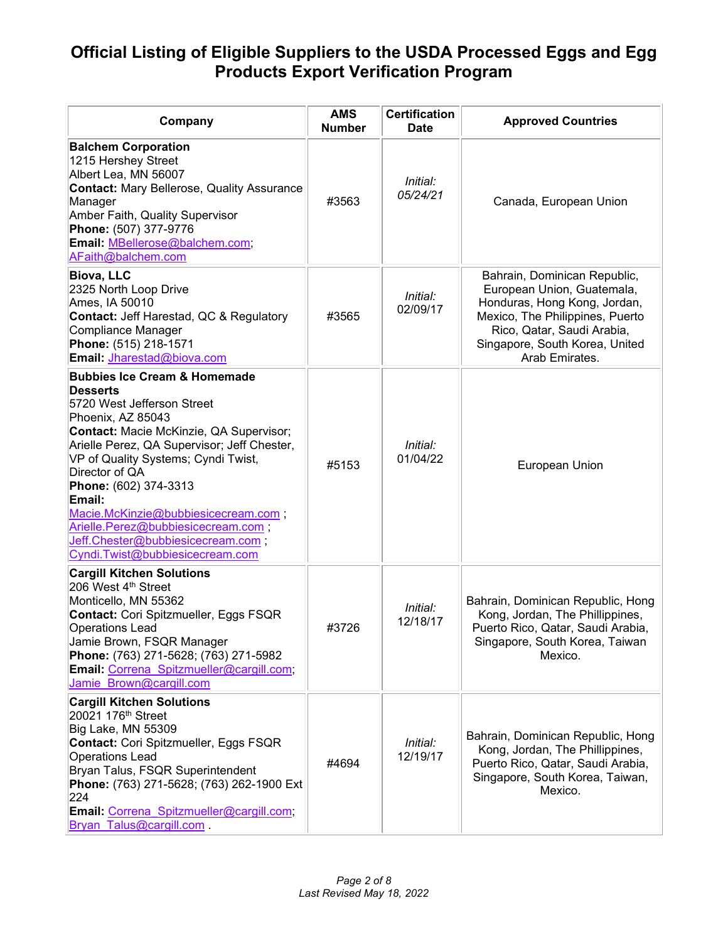| Company                                                                                                                                                                                                                                                                                                                                                                                                                                                  | <b>AMS</b><br><b>Number</b> | <b>Certification</b><br><b>Date</b> | <b>Approved Countries</b>                                                                                                                                                                                       |
|----------------------------------------------------------------------------------------------------------------------------------------------------------------------------------------------------------------------------------------------------------------------------------------------------------------------------------------------------------------------------------------------------------------------------------------------------------|-----------------------------|-------------------------------------|-----------------------------------------------------------------------------------------------------------------------------------------------------------------------------------------------------------------|
| <b>Balchem Corporation</b><br>1215 Hershey Street<br>Albert Lea, MN 56007<br><b>Contact: Mary Bellerose, Quality Assurance</b><br>Manager<br>Amber Faith, Quality Supervisor<br>Phone: (507) 377-9776<br>Email: MBellerose@balchem.com;<br>AFaith@balchem.com                                                                                                                                                                                            | #3563                       | Initial:<br>05/24/21                | Canada, European Union                                                                                                                                                                                          |
| <b>Biova, LLC</b><br>2325 North Loop Drive<br>Ames, IA 50010<br><b>Contact: Jeff Harestad, QC &amp; Regulatory</b><br>Compliance Manager<br>Phone: (515) 218-1571<br>Email: Jharestad@biova.com                                                                                                                                                                                                                                                          | #3565                       | Initial:<br>02/09/17                | Bahrain, Dominican Republic,<br>European Union, Guatemala,<br>Honduras, Hong Kong, Jordan,<br>Mexico, The Philippines, Puerto<br>Rico, Qatar, Saudi Arabia,<br>Singapore, South Korea, United<br>Arab Emirates. |
| <b>Bubbies Ice Cream &amp; Homemade</b><br><b>Desserts</b><br>5720 West Jefferson Street<br>Phoenix, AZ 85043<br>Contact: Macie McKinzie, QA Supervisor;<br>Arielle Perez, QA Supervisor; Jeff Chester,<br>VP of Quality Systems; Cyndi Twist,<br>Director of QA<br>Phone: (602) 374-3313<br>Email:<br>Macie.McKinzie@bubbiesicecream.com;<br>Arielle.Perez@bubbiesicecream.com;<br>Jeff.Chester@bubbiesicecream.com;<br>Cyndi.Twist@bubbiesicecream.com | #5153                       | Initial:<br>01/04/22                | European Union                                                                                                                                                                                                  |
| <b>Cargill Kitchen Solutions</b><br>206 West 4th Street<br>Monticello, MN 55362<br>Contact: Cori Spitzmueller, Eggs FSQR<br><b>Operations Lead</b><br>Jamie Brown, FSQR Manager<br>Phone: (763) 271-5628; (763) 271-5982<br>Email: Correna Spitzmueller@cargill.com;<br>Jamie Brown@cargill.com                                                                                                                                                          | #3726                       | Initial:<br>12/18/17                | Bahrain, Dominican Republic, Hong<br>Kong, Jordan, The Phillippines,<br>Puerto Rico, Qatar, Saudi Arabia,<br>Singapore, South Korea, Taiwan<br>Mexico.                                                          |
| <b>Cargill Kitchen Solutions</b><br>20021 176 <sup>th</sup> Street<br>Big Lake, MN 55309<br>Contact: Cori Spitzmueller, Eggs FSQR<br><b>Operations Lead</b><br>Bryan Talus, FSQR Superintendent<br>Phone: (763) 271-5628; (763) 262-1900 Ext<br>224<br>Email: Correna Spitzmueller@cargill.com;<br>Bryan Talus@cargill.com                                                                                                                               | #4694                       | Initial:<br>12/19/17                | Bahrain, Dominican Republic, Hong<br>Kong, Jordan, The Phillippines,<br>Puerto Rico, Qatar, Saudi Arabia,<br>Singapore, South Korea, Taiwan,<br>Mexico.                                                         |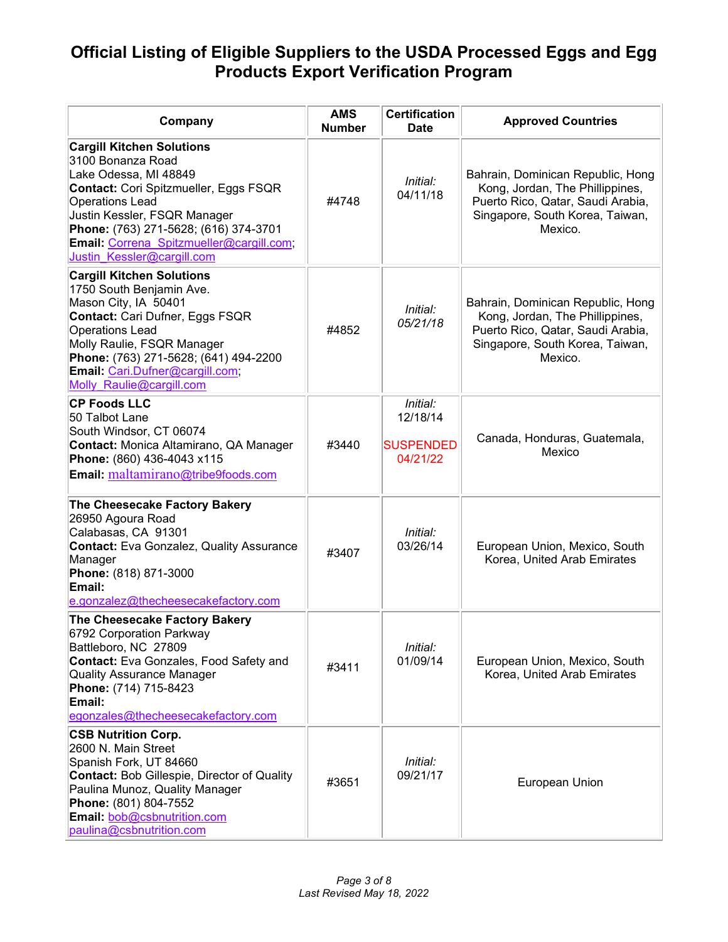| Company                                                                                                                                                                                                                                                                                              | <b>AMS</b><br><b>Number</b> | <b>Certification</b><br><b>Date</b>                  | <b>Approved Countries</b>                                                                                                                               |
|------------------------------------------------------------------------------------------------------------------------------------------------------------------------------------------------------------------------------------------------------------------------------------------------------|-----------------------------|------------------------------------------------------|---------------------------------------------------------------------------------------------------------------------------------------------------------|
| <b>Cargill Kitchen Solutions</b><br>3100 Bonanza Road<br>Lake Odessa, MI 48849<br>Contact: Cori Spitzmueller, Eggs FSQR<br><b>Operations Lead</b><br>Justin Kessler, FSQR Manager<br>Phone: (763) 271-5628; (616) 374-3701<br>Email: Correna Spitzmueller@cargill.com;<br>Justin Kessler@cargill.com | #4748                       | Initial:<br>04/11/18                                 | Bahrain, Dominican Republic, Hong<br>Kong, Jordan, The Phillippines,<br>Puerto Rico, Qatar, Saudi Arabia,<br>Singapore, South Korea, Taiwan,<br>Mexico. |
| <b>Cargill Kitchen Solutions</b><br>1750 South Benjamin Ave.<br>Mason City, IA 50401<br>Contact: Cari Dufner, Eggs FSQR<br><b>Operations Lead</b><br>Molly Raulie, FSQR Manager<br>Phone: (763) 271-5628; (641) 494-2200<br>Email: Cari.Dufner@cargill.com;<br>Molly Raulie@cargill.com              | #4852                       | Initial:<br>05/21/18                                 | Bahrain, Dominican Republic, Hong<br>Kong, Jordan, The Phillippines,<br>Puerto Rico, Qatar, Saudi Arabia,<br>Singapore, South Korea, Taiwan,<br>Mexico. |
| <b>CP Foods LLC</b><br>50 Talbot Lane<br>South Windsor, CT 06074<br>Contact: Monica Altamirano, QA Manager<br>Phone: (860) 436-4043 x115<br>Email: maltamirano@tribe9foods.com                                                                                                                       | #3440                       | Initial:<br>12/18/14<br><b>SUSPENDED</b><br>04/21/22 | Canada, Honduras, Guatemala,<br>Mexico                                                                                                                  |
| The Cheesecake Factory Bakery<br>26950 Agoura Road<br>Calabasas, CA 91301<br><b>Contact:</b> Eva Gonzalez, Quality Assurance<br>Manager<br>Phone: (818) 871-3000<br>Email:<br>e.gonzalez@thecheesecakefactory.com                                                                                    | #3407                       | Initial:<br>03/26/14                                 | European Union, Mexico, South<br>Korea, United Arab Emirates                                                                                            |
| The Cheesecake Factory Bakery<br>6792 Corporation Parkway<br>Battleboro, NC 27809<br><b>Contact:</b> Eva Gonzales, Food Safety and<br><b>Quality Assurance Manager</b><br>Phone: (714) 715-8423<br>Email:<br>egonzales@thecheesecakefactory.com                                                      | #3411                       | Initial:<br>01/09/14                                 | European Union, Mexico, South<br>Korea, United Arab Emirates                                                                                            |
| <b>CSB Nutrition Corp.</b><br>2600 N. Main Street<br>Spanish Fork, UT 84660<br><b>Contact: Bob Gillespie, Director of Quality</b><br>Paulina Munoz, Quality Manager<br>Phone: (801) 804-7552<br>Email: bob@csbnutrition.com<br>paulina@csbnutrition.com                                              | #3651                       | Initial:<br>09/21/17                                 | European Union                                                                                                                                          |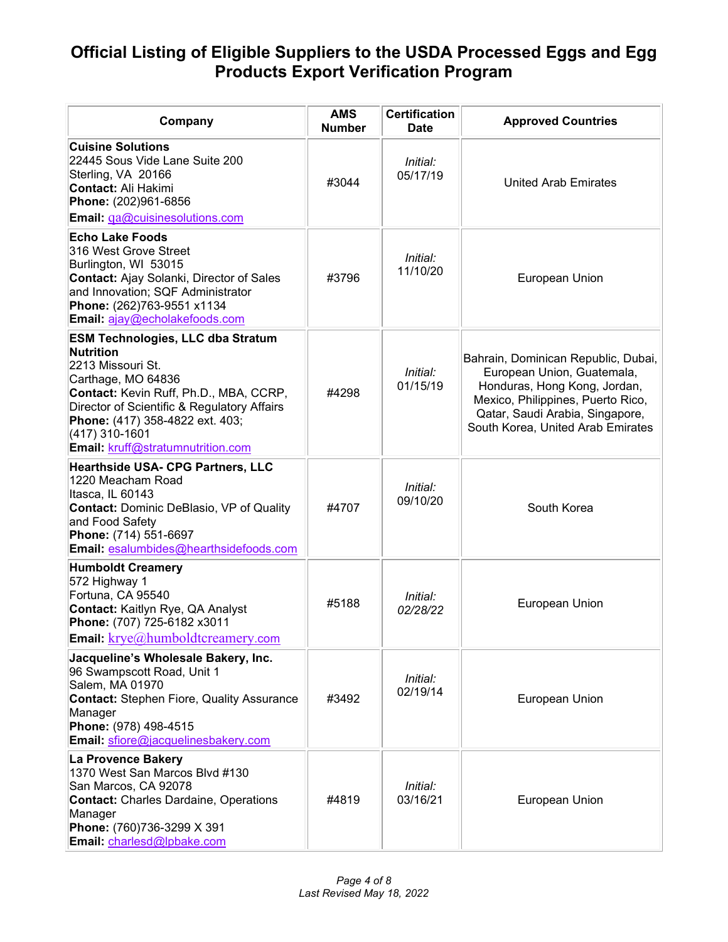| Company                                                                                                                                                                                                                                                                                    | <b>AMS</b><br><b>Number</b> | <b>Certification</b><br><b>Date</b> | <b>Approved Countries</b>                                                                                                                                                                                      |
|--------------------------------------------------------------------------------------------------------------------------------------------------------------------------------------------------------------------------------------------------------------------------------------------|-----------------------------|-------------------------------------|----------------------------------------------------------------------------------------------------------------------------------------------------------------------------------------------------------------|
| <b>Cuisine Solutions</b><br>22445 Sous Vide Lane Suite 200<br>Sterling, VA 20166<br>Contact: Ali Hakimi<br>Phone: (202)961-6856<br>Email: qa@cuisinesolutions.com                                                                                                                          | #3044                       | Initial:<br>05/17/19                | <b>United Arab Emirates</b>                                                                                                                                                                                    |
| <b>Echo Lake Foods</b><br>316 West Grove Street<br>Burlington, WI 53015<br><b>Contact: Ajay Solanki, Director of Sales</b><br>and Innovation; SQF Administrator<br>Phone: (262)763-9551 x1134<br>Email: ajay@echolakefoods.com                                                             | #3796                       | Initial:<br>11/10/20                | European Union                                                                                                                                                                                                 |
| <b>ESM Technologies, LLC dba Stratum</b><br><b>Nutrition</b><br>2213 Missouri St.<br>Carthage, MO 64836<br>Contact: Kevin Ruff, Ph.D., MBA, CCRP,<br>Director of Scientific & Regulatory Affairs<br>Phone: (417) 358-4822 ext. 403;<br>(417) 310-1601<br>Email: kruff@stratumnutrition.com | #4298                       | Initial:<br>01/15/19                | Bahrain, Dominican Republic, Dubai,<br>European Union, Guatemala,<br>Honduras, Hong Kong, Jordan,<br>Mexico, Philippines, Puerto Rico,<br>Qatar, Saudi Arabia, Singapore,<br>South Korea, United Arab Emirates |
| <b>Hearthside USA- CPG Partners, LLC</b><br>1220 Meacham Road<br>Itasca, IL 60143<br><b>Contact: Dominic DeBlasio, VP of Quality</b><br>and Food Safety<br>Phone: (714) 551-6697<br>Email: esalumbides@hearthsidefoods.com                                                                 | #4707                       | Initial:<br>09/10/20                | South Korea                                                                                                                                                                                                    |
| <b>Humboldt Creamery</b><br>572 Highway 1<br>Fortuna, CA 95540<br>Contact: Kaitlyn Rye, QA Analyst<br>Phone: (707) 725-6182 x3011<br>Email: krye@humboldtcreamery.com                                                                                                                      | #5188                       | Initial:<br>02/28/22                | European Union                                                                                                                                                                                                 |
| Jacqueline's Wholesale Bakery, Inc.<br>96 Swampscott Road, Unit 1<br>Salem, MA 01970<br><b>Contact: Stephen Fiore, Quality Assurance</b><br>Manager<br>Phone: (978) 498-4515<br>Email: sfiore@jacquelinesbakery.com                                                                        | #3492                       | Initial:<br>02/19/14                | European Union                                                                                                                                                                                                 |
| La Provence Bakery<br>1370 West San Marcos Blvd #130<br>San Marcos, CA 92078<br><b>Contact: Charles Dardaine, Operations</b><br>Manager<br>Phone: (760)736-3299 X 391<br>Email: charlesd@lpbake.com                                                                                        | #4819                       | Initial:<br>03/16/21                | European Union                                                                                                                                                                                                 |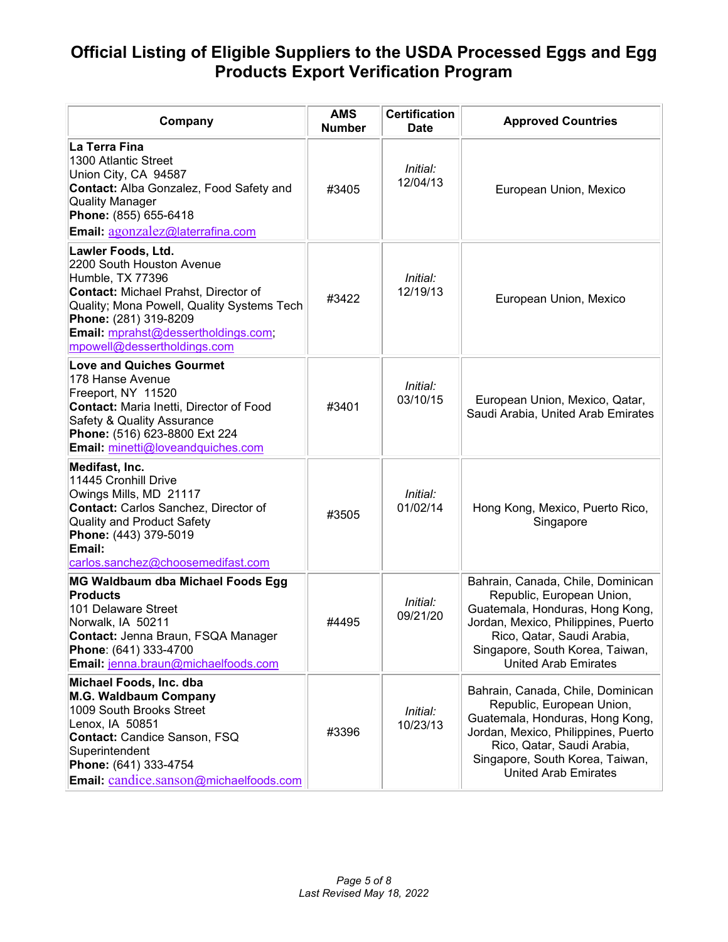| Company                                                                                                                                                                                                                                                         | <b>AMS</b><br><b>Number</b> | <b>Certification</b><br><b>Date</b> | <b>Approved Countries</b>                                                                                                                                                                                                                |
|-----------------------------------------------------------------------------------------------------------------------------------------------------------------------------------------------------------------------------------------------------------------|-----------------------------|-------------------------------------|------------------------------------------------------------------------------------------------------------------------------------------------------------------------------------------------------------------------------------------|
| La Terra Fina<br>1300 Atlantic Street<br>Union City, CA 94587<br><b>Contact: Alba Gonzalez, Food Safety and</b><br><b>Quality Manager</b><br>Phone: (855) 655-6418<br>Email: agonzalez@laterrafina.com                                                          | #3405                       | Initial:<br>12/04/13                | European Union, Mexico                                                                                                                                                                                                                   |
| Lawler Foods, Ltd.<br>2200 South Houston Avenue<br>Humble, TX 77396<br><b>Contact: Michael Prahst, Director of</b><br>Quality; Mona Powell, Quality Systems Tech<br>Phone: (281) 319-8209<br>Email: mprahst@dessertholdings.com;<br>mpowell@dessertholdings.com | #3422                       | Initial:<br>12/19/13                | European Union, Mexico                                                                                                                                                                                                                   |
| <b>Love and Quiches Gourmet</b><br>178 Hanse Avenue<br>Freeport, NY 11520<br><b>Contact: Maria Inetti, Director of Food</b><br>Safety & Quality Assurance<br>Phone: (516) 623-8800 Ext 224<br><b>Email:</b> minetti@loveandquiches.com                          | #3401                       | Initial:<br>03/10/15                | European Union, Mexico, Qatar,<br>Saudi Arabia, United Arab Emirates                                                                                                                                                                     |
| Medifast, Inc.<br>11445 Cronhill Drive<br>Owings Mills, MD 21117<br>Contact: Carlos Sanchez, Director of<br>Quality and Product Safety<br>Phone: (443) 379-5019<br>Email:<br>carlos.sanchez@choosemedifast.com                                                  | #3505                       | Initial:<br>01/02/14                | Hong Kong, Mexico, Puerto Rico,<br>Singapore                                                                                                                                                                                             |
| MG Waldbaum dba Michael Foods Egg<br><b>Products</b><br>101 Delaware Street<br>Norwalk, IA 50211<br>Contact: Jenna Braun, FSQA Manager<br>Phone: (641) 333-4700<br>Email: jenna.braun@michaelfoods.com                                                          | #4495                       | Initial:<br>09/21/20                | Bahrain, Canada, Chile, Dominican<br>Republic, European Union,<br>Guatemala, Honduras, Hong Kong,<br>Jordan, Mexico, Philippines, Puerto<br>Rico, Qatar, Saudi Arabia,<br>Singapore, South Korea, Taiwan,<br><b>United Arab Emirates</b> |
| Michael Foods, Inc. dba<br>M.G. Waldbaum Company<br>1009 South Brooks Street<br>Lenox, IA 50851<br><b>Contact: Candice Sanson, FSQ</b><br>Superintendent<br>Phone: (641) 333-4754<br>Email: candice.sanson@michaelfoods.com                                     | #3396                       | Initial:<br>10/23/13                | Bahrain, Canada, Chile, Dominican<br>Republic, European Union,<br>Guatemala, Honduras, Hong Kong,<br>Jordan, Mexico, Philippines, Puerto<br>Rico, Qatar, Saudi Arabia,<br>Singapore, South Korea, Taiwan,<br><b>United Arab Emirates</b> |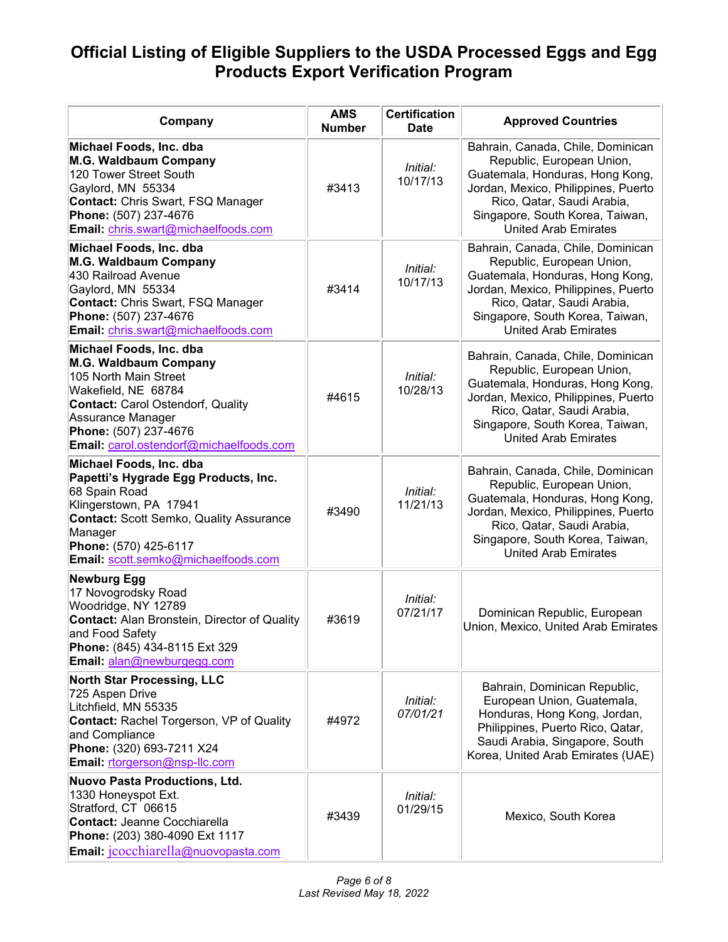| Company                                                                                                                                                                                                                                 | <b>AMS</b><br><b>Number</b> | <b>Certification</b><br><b>Date</b> | <b>Approved Countries</b>                                                                                                                                                                                                                |
|-----------------------------------------------------------------------------------------------------------------------------------------------------------------------------------------------------------------------------------------|-----------------------------|-------------------------------------|------------------------------------------------------------------------------------------------------------------------------------------------------------------------------------------------------------------------------------------|
| Michael Foods, Inc. dba<br>M.G. Waldbaum Company<br>120 Tower Street South<br>Gaylord, MN 55334<br><b>Contact: Chris Swart, FSQ Manager</b><br>Phone: (507) 237-4676<br>Email: chris.swart@michaelfoods.com                             | #3413                       | Initial:<br>10/17/13                | Bahrain, Canada, Chile, Dominican<br>Republic, European Union,<br>Guatemala, Honduras, Hong Kong,<br>Jordan, Mexico, Philippines, Puerto<br>Rico, Qatar, Saudi Arabia,<br>Singapore, South Korea, Taiwan,<br><b>United Arab Emirates</b> |
| Michael Foods, Inc. dba<br>M.G. Waldbaum Company<br>430 Railroad Avenue<br>Gaylord, MN 55334<br><b>Contact: Chris Swart, FSQ Manager</b><br>Phone: (507) 237-4676<br>Email: chris.swart@michaelfoods.com                                | #3414                       | Initial:<br>10/17/13                | Bahrain, Canada, Chile, Dominican<br>Republic, European Union,<br>Guatemala, Honduras, Hong Kong,<br>Jordan, Mexico, Philippines, Puerto<br>Rico, Qatar, Saudi Arabia,<br>Singapore, South Korea, Taiwan,<br><b>United Arab Emirates</b> |
| Michael Foods, Inc. dba<br>M.G. Waldbaum Company<br>105 North Main Street<br>Wakefield, NE 68784<br><b>Contact: Carol Ostendorf, Quality</b><br>Assurance Manager<br>Phone: (507) 237-4676<br>Email: carol.ostendorf@michaelfoods.com   | #4615                       | Initial:<br>10/28/13                | Bahrain, Canada, Chile, Dominican<br>Republic, European Union,<br>Guatemala, Honduras, Hong Kong,<br>Jordan, Mexico, Philippines, Puerto<br>Rico, Qatar, Saudi Arabia,<br>Singapore, South Korea, Taiwan,<br><b>United Arab Emirates</b> |
| Michael Foods, Inc. dba<br>Papetti's Hygrade Egg Products, Inc.<br>68 Spain Road<br>Klingerstown, PA 17941<br><b>Contact: Scott Semko, Quality Assurance</b><br>Manager<br>Phone: (570) 425-6117<br>Email: scott.semko@michaelfoods.com | #3490                       | Initial:<br>11/21/13                | Bahrain, Canada, Chile, Dominican<br>Republic, European Union,<br>Guatemala, Honduras, Hong Kong,<br>Jordan, Mexico, Philippines, Puerto<br>Rico, Qatar, Saudi Arabia,<br>Singapore, South Korea, Taiwan,<br><b>United Arab Emirates</b> |
| Newburg Egg<br>17 Novogrodsky Road<br>Woodridge, NY 12789<br><b>Contact: Alan Bronstein, Director of Quality</b><br>and Food Safety<br>Phone: (845) 434-8115 Ext 329<br>Email: alan@newburgegg.com                                      | #3619                       | Initial:<br>07/21/17                | Dominican Republic, European<br>Union, Mexico, United Arab Emirates                                                                                                                                                                      |
| <b>North Star Processing, LLC</b><br>725 Aspen Drive<br>Litchfield, MN 55335<br><b>Contact: Rachel Torgerson, VP of Quality</b><br>and Compliance<br>Phone: (320) 693-7211 X24<br>Email: rtorgerson@nsp-llc.com                         | #4972                       | Initial:<br>07/01/21                | Bahrain, Dominican Republic,<br>European Union, Guatemala,<br>Honduras, Hong Kong, Jordan,<br>Philippines, Puerto Rico, Qatar,<br>Saudi Arabia, Singapore, South<br>Korea, United Arab Emirates (UAE)                                    |
| Nuovo Pasta Productions, Ltd.<br>1330 Honeyspot Ext.<br>Stratford, CT 06615<br><b>Contact: Jeanne Cocchiarella</b><br>Phone: (203) 380-4090 Ext 1117<br><b>Email</b> : $jcoechiarella@nuovopasta.com$                                   | #3439                       | Initial:<br>01/29/15                | Mexico, South Korea                                                                                                                                                                                                                      |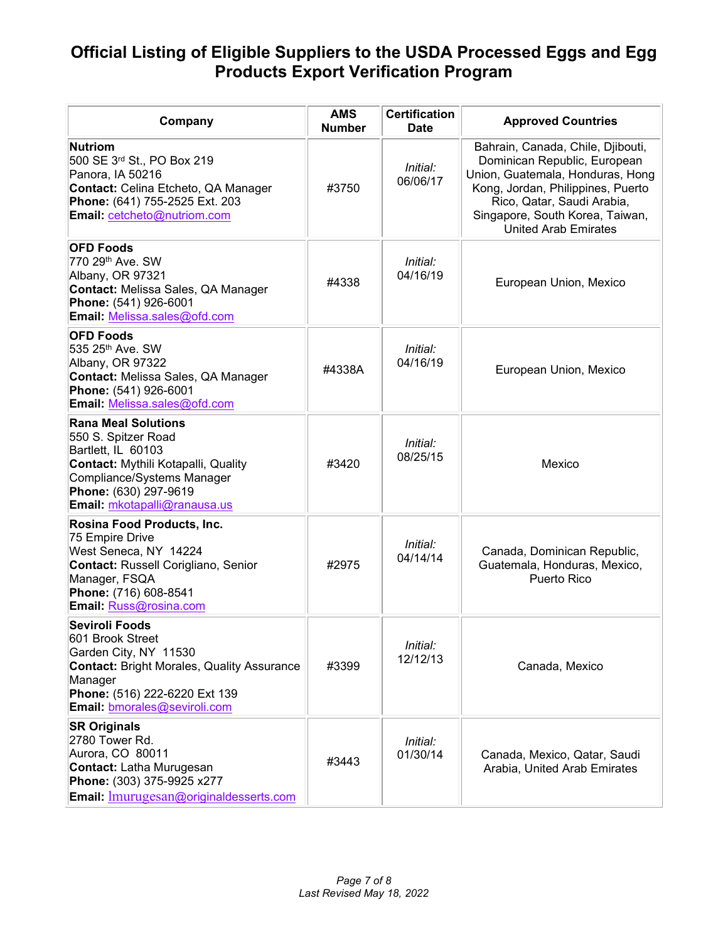| Company                                                                                                                                                                                               | <b>AMS</b><br><b>Number</b> | <b>Certification</b><br><b>Date</b> | <b>Approved Countries</b>                                                                                                                                                                                                           |
|-------------------------------------------------------------------------------------------------------------------------------------------------------------------------------------------------------|-----------------------------|-------------------------------------|-------------------------------------------------------------------------------------------------------------------------------------------------------------------------------------------------------------------------------------|
| <b>Nutriom</b><br>500 SE 3rd St., PO Box 219<br>Panora, IA 50216<br>Contact: Celina Etcheto, QA Manager<br>Phone: (641) 755-2525 Ext. 203<br>Email: cetcheto@nutriom.com                              | #3750                       | Initial:<br>06/06/17                | Bahrain, Canada, Chile, Djibouti,<br>Dominican Republic, European<br>Union, Guatemala, Honduras, Hong<br>Kong, Jordan, Philippines, Puerto<br>Rico, Qatar, Saudi Arabia,<br>Singapore, South Korea, Taiwan,<br>United Arab Emirates |
| <b>OFD Foods</b><br>770 29th Ave. SW<br>Albany, OR 97321<br>Contact: Melissa Sales, QA Manager<br>Phone: (541) 926-6001<br>Email: Melissa.sales@ofd.com                                               | #4338                       | Initial:<br>04/16/19                | European Union, Mexico                                                                                                                                                                                                              |
| <b>OFD Foods</b><br>535 25th Ave. SW<br>Albany, OR 97322<br>Contact: Melissa Sales, QA Manager<br>Phone: (541) 926-6001<br>Email: Melissa.sales@ofd.com                                               | #4338A                      | Initial:<br>04/16/19                | European Union, Mexico                                                                                                                                                                                                              |
| <b>Rana Meal Solutions</b><br>550 S. Spitzer Road<br>Bartlett, IL 60103<br>Contact: Mythili Kotapalli, Quality<br>Compliance/Systems Manager<br>Phone: (630) 297-9619<br>Email: mkotapalli@ranausa.us | #3420                       | Initial:<br>08/25/15                | Mexico                                                                                                                                                                                                                              |
| Rosina Food Products, Inc.<br>75 Empire Drive<br>West Seneca, NY 14224<br>Contact: Russell Corigliano, Senior<br>Manager, FSQA<br>Phone: (716) 608-8541<br>Email: Russ@rosina.com                     | #2975                       | Initial:<br>04/14/14                | Canada, Dominican Republic,<br>Guatemala, Honduras, Mexico,<br>Puerto Rico                                                                                                                                                          |
| Seviroli Foods<br>601 Brook Street<br>Garden City, NY 11530<br><b>Contact: Bright Morales, Quality Assurance</b><br>Manager<br>Phone: (516) 222-6220 Ext 139<br>Email: bmorales@seviroli.com          | #3399                       | Initial:<br>12/12/13                | Canada, Mexico                                                                                                                                                                                                                      |
| <b>SR Originals</b><br>2780 Tower Rd.<br>Aurora, CO 80011<br><b>Contact:</b> Latha Murugesan<br>Phone: (303) 375-9925 x277<br><b>Email:</b> Imurugesan@originaldesserts.com                           | #3443                       | Initial:<br>01/30/14                | Canada, Mexico, Qatar, Saudi<br>Arabia, United Arab Emirates                                                                                                                                                                        |